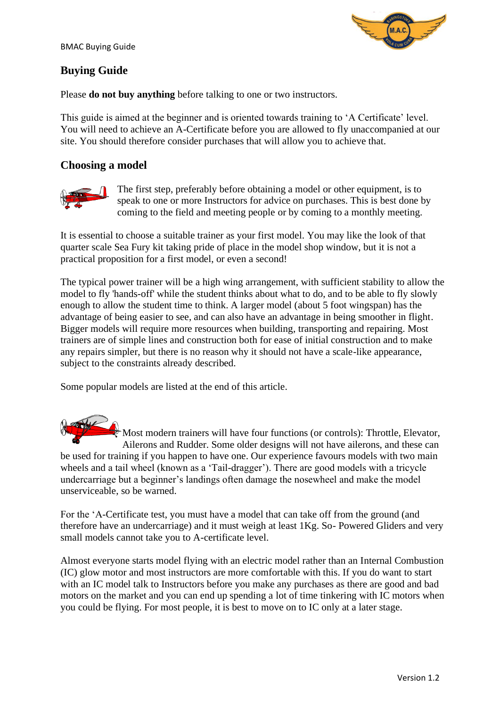

# **Buying Guide**

Please **do not buy anything** before talking to one or two instructors.

This guide is aimed at the beginner and is oriented towards training to 'A Certificate' level. You will need to achieve an A-Certificate before you are allowed to fly unaccompanied at our site. You should therefore consider purchases that will allow you to achieve that.

## **Choosing a model**



The first step, preferably before obtaining a model or other equipment, is to speak to one or more Instructors for advice on purchases. This is best done by coming to the field and meeting people or by coming to a monthly meeting.

It is essential to choose a suitable trainer as your first model. You may like the look of that quarter scale Sea Fury kit taking pride of place in the model shop window, but it is not a practical proposition for a first model, or even a second!

The typical power trainer will be a high wing arrangement, with sufficient stability to allow the model to fly 'hands-off' while the student thinks about what to do, and to be able to fly slowly enough to allow the student time to think. A larger model (about 5 foot wingspan) has the advantage of being easier to see, and can also have an advantage in being smoother in flight. Bigger models will require more resources when building, transporting and repairing. Most trainers are of simple lines and construction both for ease of initial construction and to make any repairs simpler, but there is no reason why it should not have a scale-like appearance, subject to the constraints already described.

Some popular models are listed at the end of this article.

 $\frac{1}{2}$  Most modern trainers will have four functions (or controls): Throttle, Elevator, Ailerons and Rudder. Some older designs will not have ailerons, and these can be used for training if you happen to have one. Our experience favours models with two main wheels and a tail wheel (known as a 'Tail-dragger'). There are good models with a tricycle undercarriage but a beginner's landings often damage the nosewheel and make the model unserviceable, so be warned.

For the 'A-Certificate test, you must have a model that can take off from the ground (and therefore have an undercarriage) and it must weigh at least 1Kg. So- Powered Gliders and very small models cannot take you to A-certificate level.

Almost everyone starts model flying with an electric model rather than an Internal Combustion (IC) glow motor and most instructors are more comfortable with this. If you do want to start with an IC model talk to Instructors before you make any purchases as there are good and bad motors on the market and you can end up spending a lot of time tinkering with IC motors when you could be flying. For most people, it is best to move on to IC only at a later stage.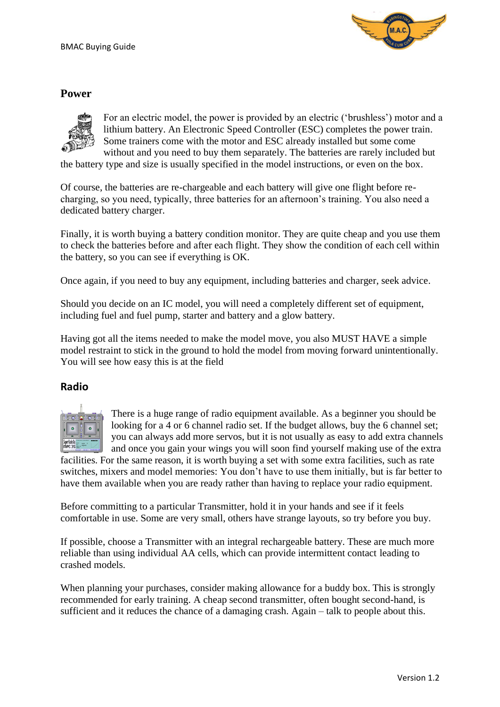

### **Power**



For an electric model, the power is provided by an electric ('brushless') motor and a lithium battery. An Electronic Speed Controller (ESC) completes the power train. Some trainers come with the motor and ESC already installed but some come without and you need to buy them separately. The batteries are rarely included but

the battery type and size is usually specified in the model instructions, or even on the box.

Of course, the batteries are re-chargeable and each battery will give one flight before recharging, so you need, typically, three batteries for an afternoon's training. You also need a dedicated battery charger.

Finally, it is worth buying a battery condition monitor. They are quite cheap and you use them to check the batteries before and after each flight. They show the condition of each cell within the battery, so you can see if everything is OK.

Once again, if you need to buy any equipment, including batteries and charger, seek advice.

Should you decide on an IC model, you will need a completely different set of equipment, including fuel and fuel pump, starter and battery and a glow battery.

Having got all the items needed to make the model move, you also MUST HAVE a simple model restraint to stick in the ground to hold the model from moving forward unintentionally. You will see how easy this is at the field

#### **Radio**



There is a huge range of radio equipment available. As a beginner you should be looking for a 4 or 6 channel radio set. If the budget allows, buy the 6 channel set; you can always add more servos, but it is not usually as easy to add extra channels and once you gain your wings you will soon find yourself making use of the extra

facilities. For the same reason, it is worth buying a set with some extra facilities, such as rate switches, mixers and model memories: You don't have to use them initially, but is far better to have them available when you are ready rather than having to replace your radio equipment.

Before committing to a particular Transmitter, hold it in your hands and see if it feels comfortable in use. Some are very small, others have strange layouts, so try before you buy.

If possible, choose a Transmitter with an integral rechargeable battery. These are much more reliable than using individual AA cells, which can provide intermittent contact leading to crashed models.

When planning your purchases, consider making allowance for a buddy box. This is strongly recommended for early training. A cheap second transmitter, often bought second-hand, is sufficient and it reduces the chance of a damaging crash. Again – talk to people about this.